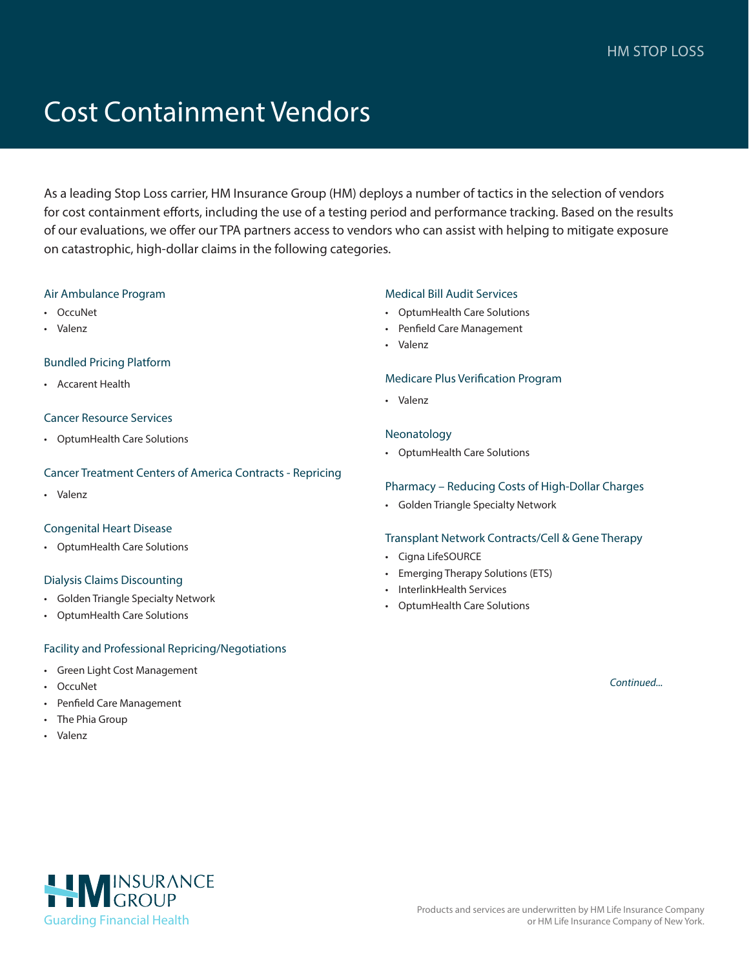# Cost Containment Vendors

As a leading Stop Loss carrier, HM Insurance Group (HM) deploys a number of tactics in the selection of vendors for cost containment efforts, including the use of a testing period and performance tracking. Based on the results of our evaluations, we offer our TPA partners access to vendors who can assist with helping to mitigate exposure on catastrophic, high-dollar claims in the following categories.

#### Air Ambulance Program

- OccuNet
- Valenz

#### Bundled Pricing Platform

• Accarent Health

#### Cancer Resource Services

• OptumHealth Care Solutions

#### Cancer Treatment Centers of America Contracts - Repricing

• Valenz

#### Congenital Heart Disease

• OptumHealth Care Solutions

#### Dialysis Claims Discounting

- Golden Triangle Specialty Network
- OptumHealth Care Solutions

#### Facility and Professional Repricing/Negotiations

- Green Light Cost Management
- OccuNet
- Penfield Care Management
- The Phia Group
- Valenz

#### Medical Bill Audit Services

- OptumHealth Care Solutions
- Penfield Care Management
- Valenz

#### Medicare Plus Verification Program

• Valenz

#### Neonatology

• OptumHealth Care Solutions

#### Pharmacy – Reducing Costs of High-Dollar Charges

• Golden Triangle Specialty Network

#### Transplant Network Contracts/Cell & Gene Therapy

- Cigna LifeSOURCE
- Emerging Therapy Solutions (ETS)
- InterlinkHealth Services
- OptumHealth Care Solutions

*Continued...*

HIMINSURANCE [Guarding Financial Health](https://www.hmig.com/)